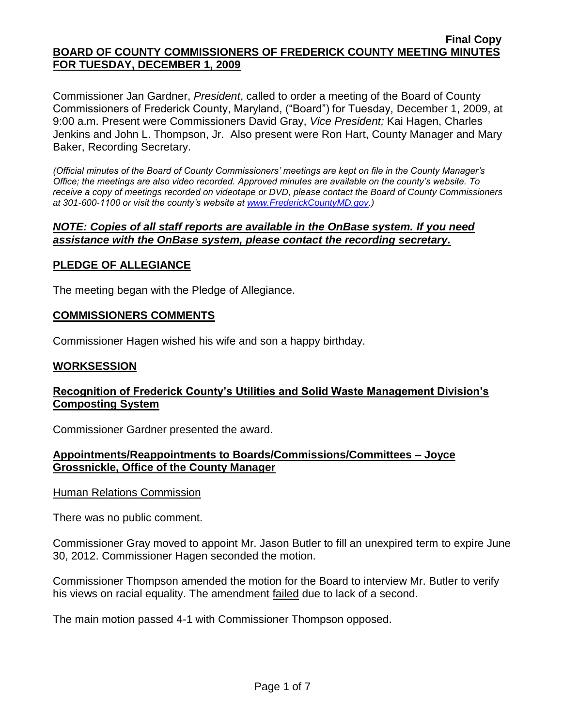#### **Final Copy BOARD OF COUNTY COMMISSIONERS OF FREDERICK COUNTY MEETING MINUTES FOR TUESDAY, DECEMBER 1, 2009**

Commissioner Jan Gardner, *President*, called to order a meeting of the Board of County Commissioners of Frederick County, Maryland, ("Board") for Tuesday, December 1, 2009, at 9:00 a.m. Present were Commissioners David Gray, *Vice President;* Kai Hagen, Charles Jenkins and John L. Thompson, Jr. Also present were Ron Hart, County Manager and Mary Baker, Recording Secretary.

*(Official minutes of the Board of County Commissioners' meetings are kept on file in the County Manager's Office; the meetings are also video recorded. Approved minutes are available on the county's website. To receive a copy of meetings recorded on videotape or DVD, please contact the Board of County Commissioners at 301-600-1100 or visit the county's website at [www.FrederickCountyMD.gov.](http://www.frederickcountymd.gov/))*

#### *NOTE: Copies of all staff reports are available in the OnBase system. If you need assistance with the OnBase system, please contact the recording secretary.*

## **PLEDGE OF ALLEGIANCE**

The meeting began with the Pledge of Allegiance.

#### **COMMISSIONERS COMMENTS**

Commissioner Hagen wished his wife and son a happy birthday.

#### **WORKSESSION**

### **Recognition of Frederick County's Utilities and Solid Waste Management Division's Composting System**

Commissioner Gardner presented the award.

#### **Appointments/Reappointments to Boards/Commissions/Committees – Joyce Grossnickle, Office of the County Manager**

Human Relations Commission

There was no public comment.

Commissioner Gray moved to appoint Mr. Jason Butler to fill an unexpired term to expire June 30, 2012. Commissioner Hagen seconded the motion.

Commissioner Thompson amended the motion for the Board to interview Mr. Butler to verify his views on racial equality. The amendment failed due to lack of a second.

The main motion passed 4-1 with Commissioner Thompson opposed.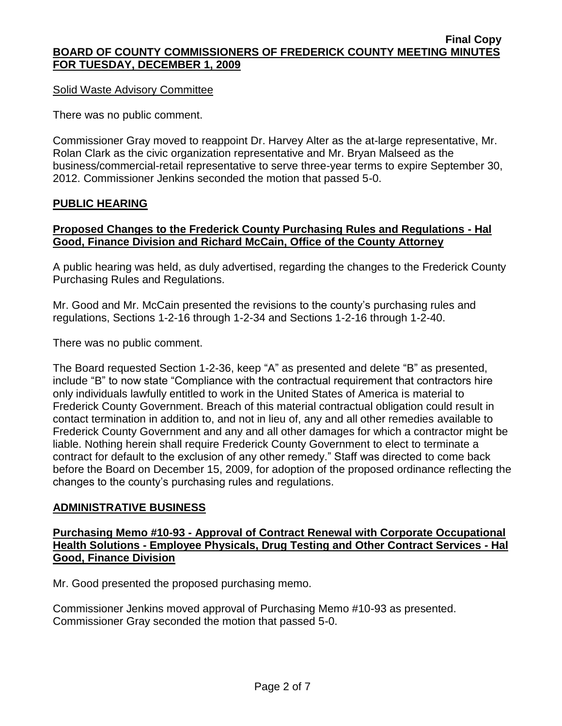#### **Final Copy BOARD OF COUNTY COMMISSIONERS OF FREDERICK COUNTY MEETING MINUTES FOR TUESDAY, DECEMBER 1, 2009**

Solid Waste Advisory Committee

There was no public comment.

Commissioner Gray moved to reappoint Dr. Harvey Alter as the at-large representative, Mr. Rolan Clark as the civic organization representative and Mr. Bryan Malseed as the business/commercial-retail representative to serve three-year terms to expire September 30, 2012. Commissioner Jenkins seconded the motion that passed 5-0.

#### **PUBLIC HEARING**

#### **Proposed Changes to the Frederick County Purchasing Rules and Regulations - Hal Good, Finance Division and Richard McCain, Office of the County Attorney**

A public hearing was held, as duly advertised, regarding the changes to the Frederick County Purchasing Rules and Regulations.

Mr. Good and Mr. McCain presented the revisions to the county's purchasing rules and regulations, Sections 1-2-16 through 1-2-34 and Sections 1-2-16 through 1-2-40.

There was no public comment.

The Board requested Section 1-2-36, keep "A" as presented and delete "B" as presented, include "B" to now state "Compliance with the contractual requirement that contractors hire only individuals lawfully entitled to work in the United States of America is material to Frederick County Government. Breach of this material contractual obligation could result in contact termination in addition to, and not in lieu of, any and all other remedies available to Frederick County Government and any and all other damages for which a contractor might be liable. Nothing herein shall require Frederick County Government to elect to terminate a contract for default to the exclusion of any other remedy." Staff was directed to come back before the Board on December 15, 2009, for adoption of the proposed ordinance reflecting the changes to the county's purchasing rules and regulations.

#### **ADMINISTRATIVE BUSINESS**

#### **Purchasing Memo #10-93 - Approval of Contract Renewal with Corporate Occupational Health Solutions - Employee Physicals, Drug Testing and Other Contract Services - Hal Good, Finance Division**

Mr. Good presented the proposed purchasing memo.

Commissioner Jenkins moved approval of Purchasing Memo #10-93 as presented. Commissioner Gray seconded the motion that passed 5-0.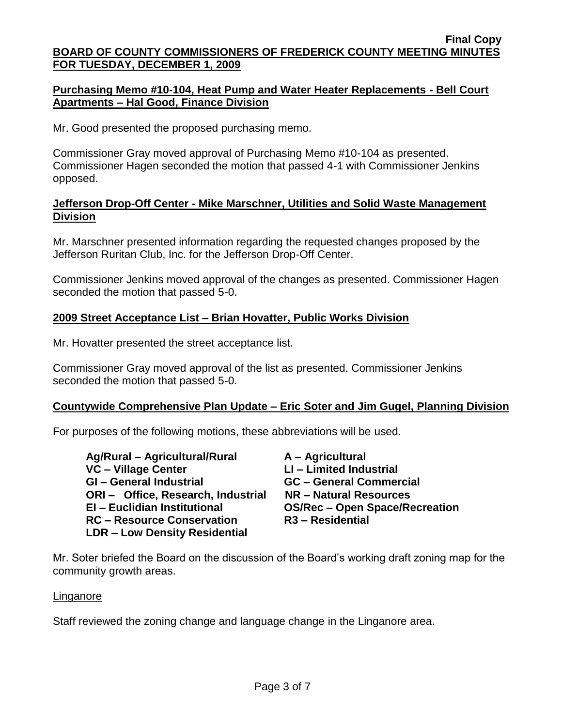### **Purchasing Memo #10-104, Heat Pump and Water Heater Replacements - Bell Court Apartments – Hal Good, Finance Division**

Mr. Good presented the proposed purchasing memo.

Commissioner Gray moved approval of Purchasing Memo #10-104 as presented. Commissioner Hagen seconded the motion that passed 4-1 with Commissioner Jenkins opposed.

### **Jefferson Drop-Off Center - Mike Marschner, Utilities and Solid Waste Management Division**

Mr. Marschner presented information regarding the requested changes proposed by the Jefferson Ruritan Club, Inc. for the Jefferson Drop-Off Center.

Commissioner Jenkins moved approval of the changes as presented. Commissioner Hagen seconded the motion that passed 5-0.

### **2009 Street Acceptance List – Brian Hovatter, Public Works Division**

Mr. Hovatter presented the street acceptance list.

Commissioner Gray moved approval of the list as presented. Commissioner Jenkins seconded the motion that passed 5-0.

#### **Countywide Comprehensive Plan Update – Eric Soter and Jim Gugel, Planning Division**

For purposes of the following motions, these abbreviations will be used.

| Ag/Rural - Agricultural/Rural        | A - Agricultural                      |
|--------------------------------------|---------------------------------------|
| VC - Village Center                  | LI - Limited Industrial               |
| <b>GI-General Industrial</b>         | <b>GC - General Commercial</b>        |
| ORI- Office, Research, Industrial    | NR - Natural Resources                |
| EI - Euclidian Institutional         | <b>OS/Rec - Open Space/Recreation</b> |
| <b>RC</b> – Resource Conservation    | R <sub>3</sub> – Residential          |
| <b>LDR - Low Density Residential</b> |                                       |

Mr. Soter briefed the Board on the discussion of the Board's working draft zoning map for the community growth areas.

#### Linganore

Staff reviewed the zoning change and language change in the Linganore area.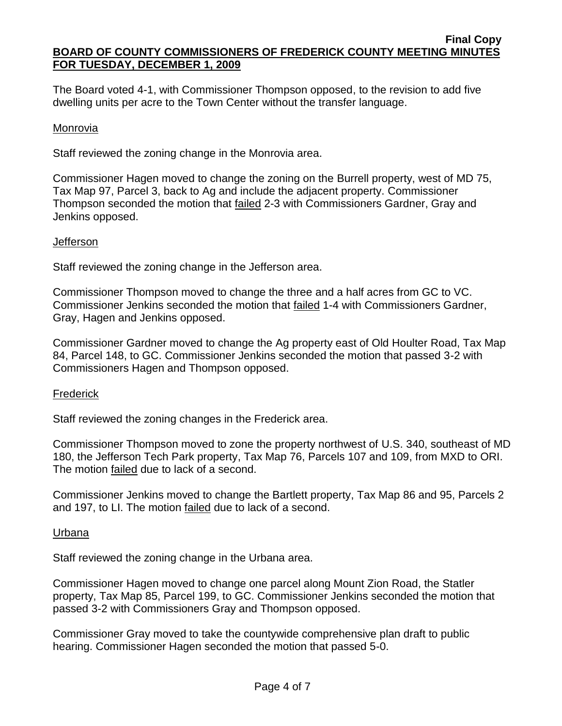The Board voted 4-1, with Commissioner Thompson opposed, to the revision to add five dwelling units per acre to the Town Center without the transfer language.

### Monrovia

Staff reviewed the zoning change in the Monrovia area.

Commissioner Hagen moved to change the zoning on the Burrell property, west of MD 75, Tax Map 97, Parcel 3, back to Ag and include the adjacent property. Commissioner Thompson seconded the motion that **failed 2-3** with Commissioners Gardner, Gray and Jenkins opposed.

#### **Jefferson**

Staff reviewed the zoning change in the Jefferson area.

Commissioner Thompson moved to change the three and a half acres from GC to VC. Commissioner Jenkins seconded the motion that failed 1-4 with Commissioners Gardner, Gray, Hagen and Jenkins opposed.

Commissioner Gardner moved to change the Ag property east of Old Houlter Road, Tax Map 84, Parcel 148, to GC. Commissioner Jenkins seconded the motion that passed 3-2 with Commissioners Hagen and Thompson opposed.

## **Frederick**

Staff reviewed the zoning changes in the Frederick area.

Commissioner Thompson moved to zone the property northwest of U.S. 340, southeast of MD 180, the Jefferson Tech Park property, Tax Map 76, Parcels 107 and 109, from MXD to ORI. The motion failed due to lack of a second.

Commissioner Jenkins moved to change the Bartlett property, Tax Map 86 and 95, Parcels 2 and 197, to LI. The motion failed due to lack of a second.

#### Urbana

Staff reviewed the zoning change in the Urbana area.

Commissioner Hagen moved to change one parcel along Mount Zion Road, the Statler property, Tax Map 85, Parcel 199, to GC. Commissioner Jenkins seconded the motion that passed 3-2 with Commissioners Gray and Thompson opposed.

Commissioner Gray moved to take the countywide comprehensive plan draft to public hearing. Commissioner Hagen seconded the motion that passed 5-0.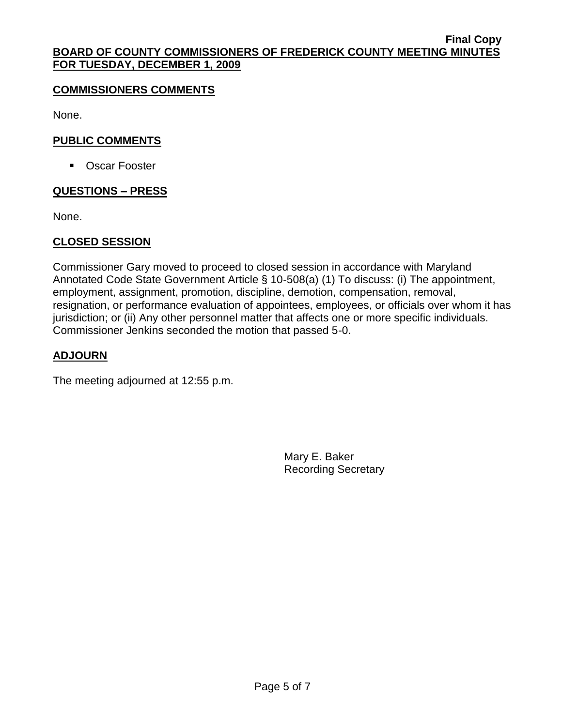### **COMMISSIONERS COMMENTS**

None.

### **PUBLIC COMMENTS**

■ Oscar Fooster

## **QUESTIONS – PRESS**

None.

### **CLOSED SESSION**

Commissioner Gary moved to proceed to closed session in accordance with Maryland Annotated Code State Government Article § 10-508(a) (1) To discuss: (i) The appointment, employment, assignment, promotion, discipline, demotion, compensation, removal, resignation, or performance evaluation of appointees, employees, or officials over whom it has jurisdiction; or (ii) Any other personnel matter that affects one or more specific individuals. Commissioner Jenkins seconded the motion that passed 5-0.

### **ADJOURN**

The meeting adjourned at 12:55 p.m.

Mary E. Baker Recording Secretary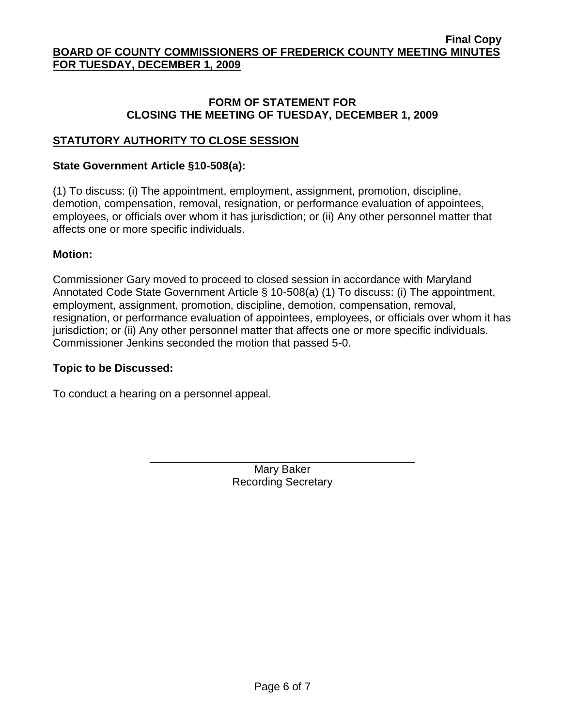#### **FORM OF STATEMENT FOR CLOSING THE MEETING OF TUESDAY, DECEMBER 1, 2009**

### **STATUTORY AUTHORITY TO CLOSE SESSION**

#### **State Government Article §10-508(a):**

(1) To discuss: (i) The appointment, employment, assignment, promotion, discipline, demotion, compensation, removal, resignation, or performance evaluation of appointees, employees, or officials over whom it has jurisdiction; or (ii) Any other personnel matter that affects one or more specific individuals.

#### **Motion:**

Commissioner Gary moved to proceed to closed session in accordance with Maryland Annotated Code State Government Article § 10-508(a) (1) To discuss: (i) The appointment, employment, assignment, promotion, discipline, demotion, compensation, removal, resignation, or performance evaluation of appointees, employees, or officials over whom it has jurisdiction; or (ii) Any other personnel matter that affects one or more specific individuals. Commissioner Jenkins seconded the motion that passed 5-0.

#### **Topic to be Discussed:**

To conduct a hearing on a personnel appeal.

Mary Baker Recording Secretary